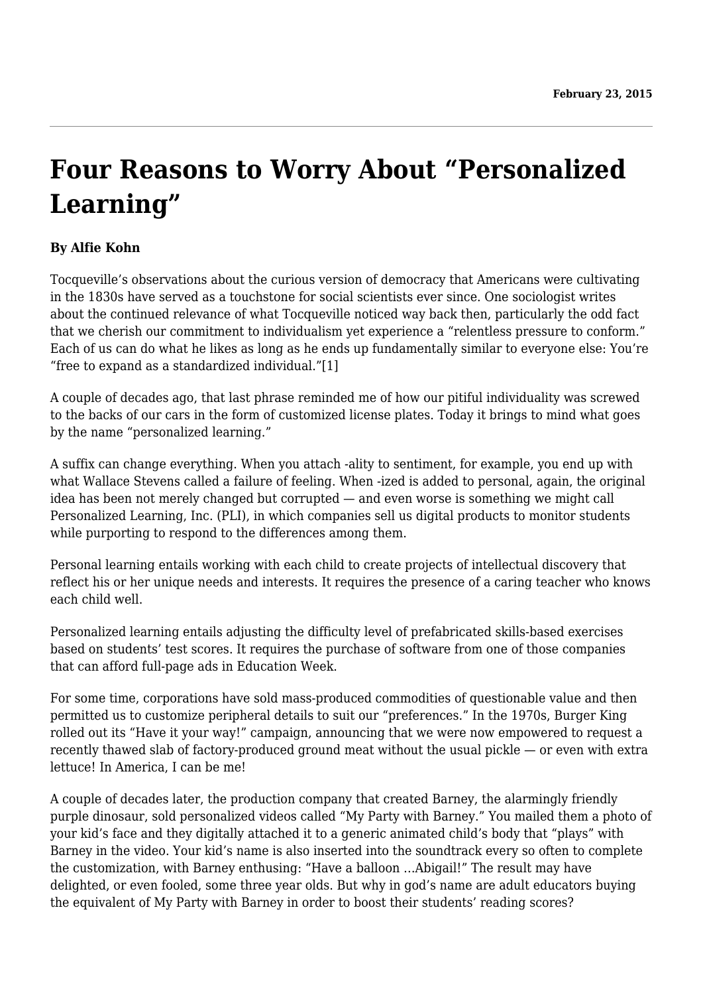## **Four Reasons to Worry About "Personalized Learning"**

## **By Alfie Kohn**

Tocqueville's observations about the curious version of democracy that Americans were cultivating in the 1830s have served as a touchstone for social scientists ever since. One sociologist writes about the continued relevance of what Tocqueville noticed way back then, particularly the odd fact that we cherish our commitment to individualism yet experience a "relentless pressure to conform." Each of us can do what he likes as long as he ends up fundamentally similar to everyone else: You're "free to expand as a standardized individual."[1]

A couple of decades ago, that last phrase reminded me of how our pitiful individuality was screwed to the backs of our cars in the form of customized license plates. Today it brings to mind what goes by the name "personalized learning."

A suffix can change everything. When you attach -ality to sentiment, for example, you end up with what Wallace Stevens called a failure of feeling. When -ized is added to personal, again, the original idea has been not merely changed but corrupted — and even worse is something we might call Personalized Learning, Inc. (PLI), in which companies sell us digital products to monitor students while purporting to respond to the differences among them.

Personal learning entails working with each child to create projects of intellectual discovery that reflect his or her unique needs and interests. It requires the presence of a caring teacher who knows each child well.

Personalized learning entails adjusting the difficulty level of prefabricated skills-based exercises based on students' test scores. It requires the purchase of software from one of those companies that can afford full-page ads in Education Week.

For some time, corporations have sold mass-produced commodities of questionable value and then permitted us to customize peripheral details to suit our "preferences." In the 1970s, Burger King rolled out its "Have it your way!" campaign, announcing that we were now empowered to request a recently thawed slab of factory-produced ground meat without the usual pickle — or even with extra lettuce! In America, I can be me!

A couple of decades later, the production company that created Barney, the alarmingly friendly purple dinosaur, sold personalized videos called "My Party with Barney." You mailed them a photo of your kid's face and they digitally attached it to a generic animated child's body that "plays" with Barney in the video. Your kid's name is also inserted into the soundtrack every so often to complete the customization, with Barney enthusing: "Have a balloon …Abigail!" The result may have delighted, or even fooled, some three year olds. But why in god's name are adult educators buying the equivalent of My Party with Barney in order to boost their students' reading scores?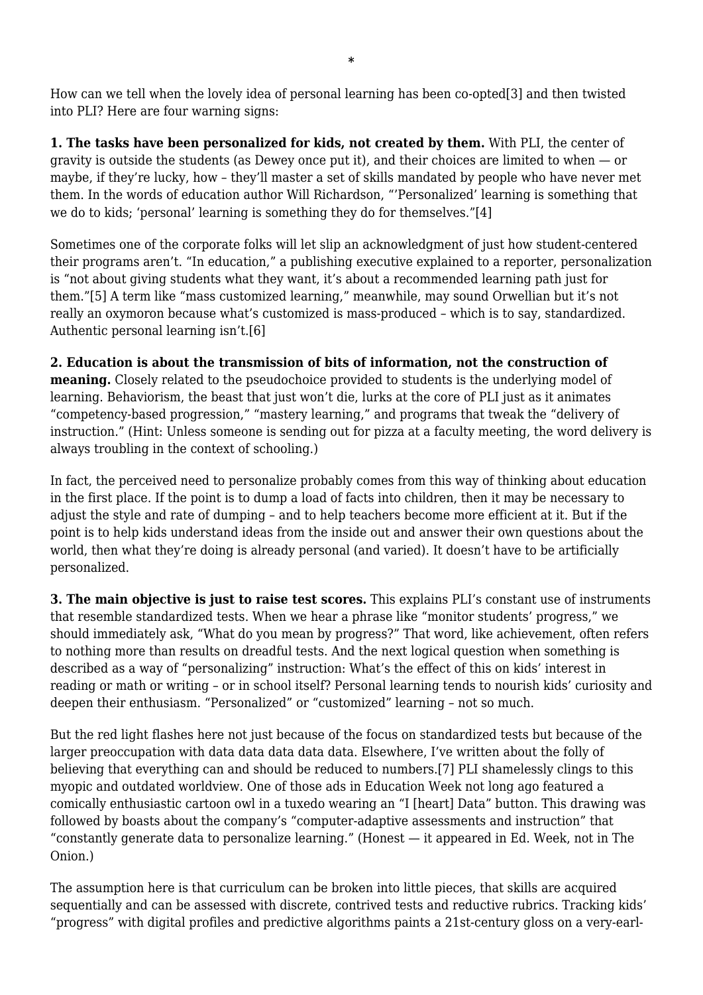How can we tell when the lovely idea of personal learning has been co-opted[3] and then twisted into PLI? Here are four warning signs:

**1. The tasks have been personalized for kids, not created by them.** With PLI, the center of gravity is outside the students (as Dewey once put it), and their choices are limited to when — or maybe, if they're lucky, how – they'll master a set of skills mandated by people who have never met them. In the words of education author Will Richardson, "'Personalized' learning is something that we do to kids; 'personal' learning is something they do for themselves."[4]

Sometimes one of the corporate folks will let slip an acknowledgment of just how student-centered their programs aren't. "In education," a publishing executive explained to a reporter, personalization is "not about giving students what they want, it's about a recommended learning path just for them."[5] A term like "mass customized learning," meanwhile, may sound Orwellian but it's not really an oxymoron because what's customized is mass-produced – which is to say, standardized. Authentic personal learning isn't.[6]

**2. Education is about the transmission of bits of information, not the construction of meaning.** Closely related to the pseudochoice provided to students is the underlying model of learning. Behaviorism, the beast that just won't die, lurks at the core of PLI just as it animates "competency-based progression," "mastery learning," and programs that tweak the "delivery of instruction." (Hint: Unless someone is sending out for pizza at a faculty meeting, the word delivery is always troubling in the context of schooling.)

In fact, the perceived need to personalize probably comes from this way of thinking about education in the first place. If the point is to dump a load of facts into children, then it may be necessary to adjust the style and rate of dumping – and to help teachers become more efficient at it. But if the point is to help kids understand ideas from the inside out and answer their own questions about the world, then what they're doing is already personal (and varied). It doesn't have to be artificially personalized.

**3. The main objective is just to raise test scores.** This explains PLI's constant use of instruments that resemble standardized tests. When we hear a phrase like "monitor students' progress," we should immediately ask, "What do you mean by progress?" That word, like achievement, often refers to nothing more than results on dreadful tests. And the next logical question when something is described as a way of "personalizing" instruction: What's the effect of this on kids' interest in reading or math or writing – or in school itself? Personal learning tends to nourish kids' curiosity and deepen their enthusiasm. "Personalized" or "customized" learning – not so much.

But the red light flashes here not just because of the focus on standardized tests but because of the larger preoccupation with data data data data data. Elsewhere, I've written about the folly of believing that everything can and should be reduced to numbers.[7] PLI shamelessly clings to this myopic and outdated worldview. One of those ads in Education Week not long ago featured a comically enthusiastic cartoon owl in a tuxedo wearing an "I [heart] Data" button. This drawing was followed by boasts about the company's "computer-adaptive assessments and instruction" that "constantly generate data to personalize learning." (Honest — it appeared in Ed. Week, not in The Onion.)

The assumption here is that curriculum can be broken into little pieces, that skills are acquired sequentially and can be assessed with discrete, contrived tests and reductive rubrics. Tracking kids' "progress" with digital profiles and predictive algorithms paints a 21st-century gloss on a very-earl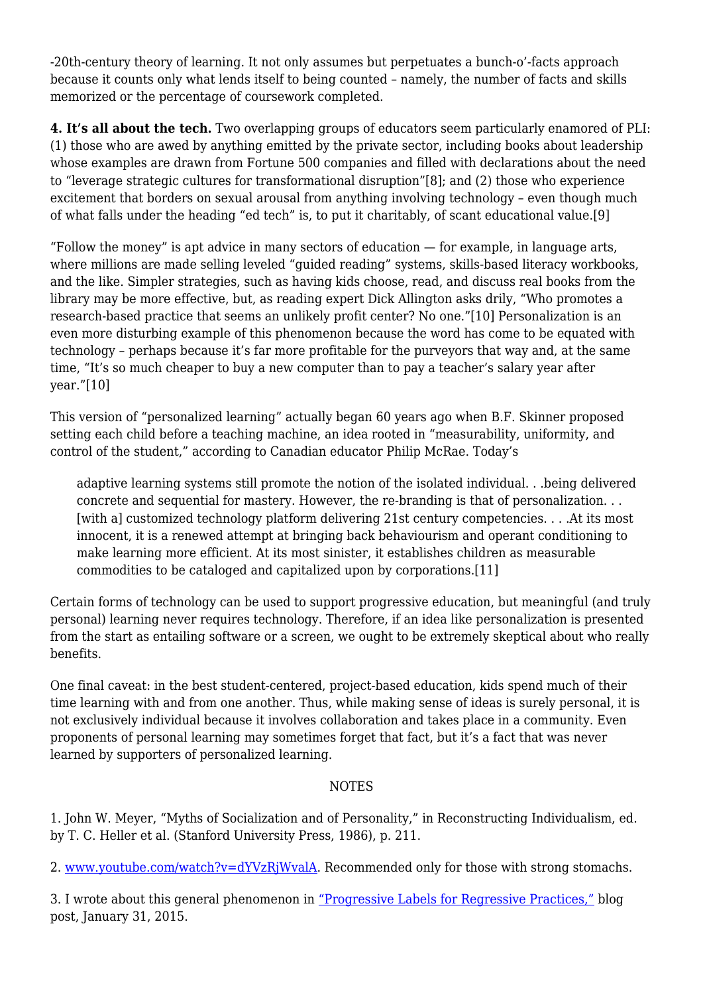-20th-century theory of learning. It not only assumes but perpetuates a bunch-o'-facts approach because it counts only what lends itself to being counted – namely, the number of facts and skills memorized or the percentage of coursework completed.

**4. It's all about the tech.** Two overlapping groups of educators seem particularly enamored of PLI: (1) those who are awed by anything emitted by the private sector, including books about leadership whose examples are drawn from Fortune 500 companies and filled with declarations about the need to "leverage strategic cultures for transformational disruption"[8]; and (2) those who experience excitement that borders on sexual arousal from anything involving technology – even though much of what falls under the heading "ed tech" is, to put it charitably, of scant educational value.[9]

"Follow the money" is apt advice in many sectors of education — for example, in language arts, where millions are made selling leveled "guided reading" systems, skills-based literacy workbooks, and the like. Simpler strategies, such as having kids choose, read, and discuss real books from the library may be more effective, but, as reading expert Dick Allington asks drily, "Who promotes a research-based practice that seems an unlikely profit center? No one."[10] Personalization is an even more disturbing example of this phenomenon because the word has come to be equated with technology – perhaps because it's far more profitable for the purveyors that way and, at the same time, "It's so much cheaper to buy a new computer than to pay a teacher's salary year after year."[10]

This version of "personalized learning" actually began 60 years ago when B.F. Skinner proposed setting each child before a teaching machine, an idea rooted in "measurability, uniformity, and control of the student," according to Canadian educator Philip McRae. Today's

adaptive learning systems still promote the notion of the isolated individual. . .being delivered concrete and sequential for mastery. However, the re-branding is that of personalization. . . [with a] customized technology platform delivering 21st century competencies. . . . At its most innocent, it is a renewed attempt at bringing back behaviourism and operant conditioning to make learning more efficient. At its most sinister, it establishes children as measurable commodities to be cataloged and capitalized upon by corporations.[11]

Certain forms of technology can be used to support progressive education, but meaningful (and truly personal) learning never requires technology. Therefore, if an idea like personalization is presented from the start as entailing software or a screen, we ought to be extremely skeptical about who really benefits.

One final caveat: in the best student-centered, project-based education, kids spend much of their time learning with and from one another. Thus, while making sense of ideas is surely personal, it is not exclusively individual because it involves collaboration and takes place in a community. Even proponents of personal learning may sometimes forget that fact, but it's a fact that was never learned by supporters of personalized learning.

## NOTES

1. John W. Meyer, "Myths of Socialization and of Personality," in Reconstructing Individualism, ed. by T. C. Heller et al. (Stanford University Press, 1986), p. 211.

2. [www.youtube.com/watch?v=dYVzRjWvalA.](http://www.youtube.com/watch?v=dYVzRjWvalA) Recommended only for those with strong stomachs.

3. I wrote about this general phenomenon in ["Progressive Labels for Regressive Practices,"](http://www.alfiekohn.org/blogs/progressive-labels-regressive-practices) blog post, January 31, 2015.